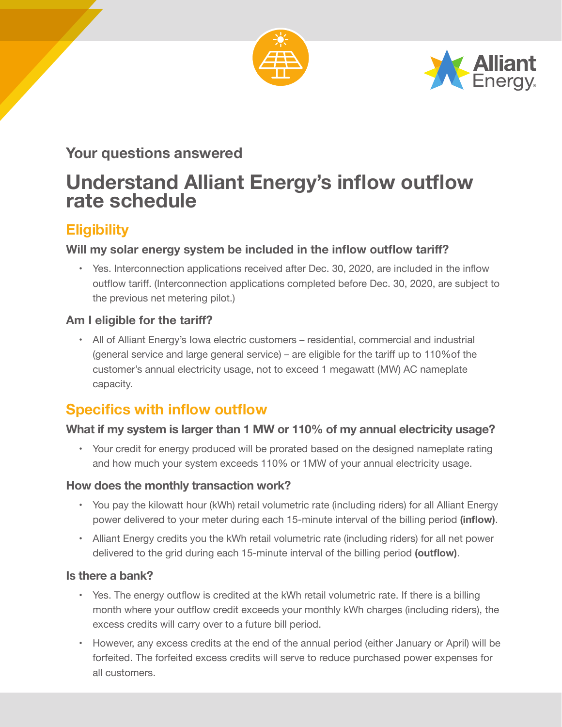



### **Your questions answered**

# **Understand Alliant Energy's inflow outflow rate schedule**

## **Eligibility**

#### **Will my solar energy system be included in the inflow outflow tariff?**

• Yes. Interconnection applications received after Dec. 30, 2020, are included in the inflow outflow tariff. (Interconnection applications completed before Dec. 30, 2020, are subject to the previous net metering pilot.)

#### **Am I eligible for the tariff?**

• All of Alliant Energy's Iowa electric customers – residential, commercial and industrial (general service and large general service) – are eligible for the tariff up to 110%of the customer's annual electricity usage, not to exceed 1 megawatt (MW) AC nameplate capacity.

# **Specifics with inflow outflow**

#### **What if my system is larger than 1 MW or 110% of my annual electricity usage?**

• Your credit for energy produced will be prorated based on the designed nameplate rating and how much your system exceeds 110% or 1MW of your annual electricity usage.

#### **How does the monthly transaction work?**

- • You pay the kilowatt hour (kWh) retail volumetric rate (including riders) for all Alliant Energy power delivered to your meter during each 15-minute interval of the billing period **(inflow)**.
- • Alliant Energy credits you the kWh retail volumetric rate (including riders) for all net power delivered to the grid during each 15-minute interval of the billing period **(outflow)**.

#### **Is there a bank?**

- • Yes. The energy outflow is credited at the kWh retail volumetric rate. If there is a billing month where your outflow credit exceeds your monthly kWh charges (including riders), the excess credits will carry over to a future bill period.
- • However, any excess credits at the end of the annual period (either January or April) will be forfeited. The forfeited excess credits will serve to reduce purchased power expenses for all customers.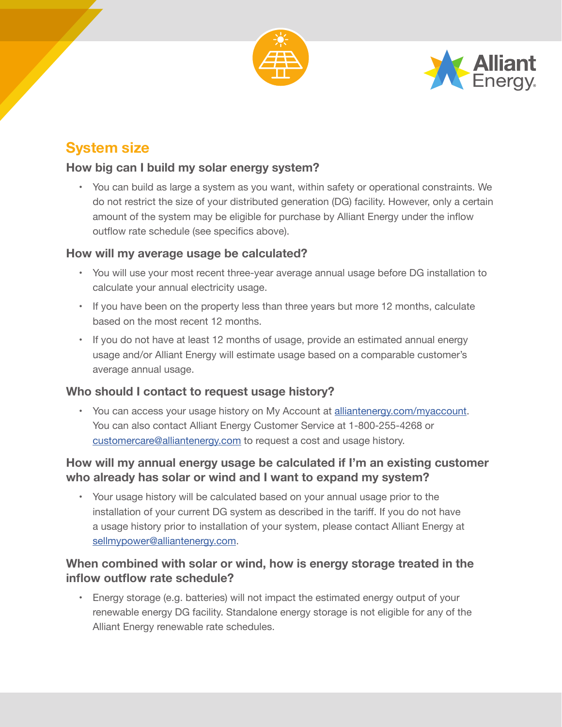



# **System size**

#### **How big can I build my solar energy system?**

• You can build as large a system as you want, within safety or operational constraints. We do not restrict the size of your distributed generation (DG) facility. However, only a certain amount of the system may be eligible for purchase by Alliant Energy under the inflow outflow rate schedule (see specifics above).

#### **How will my average usage be calculated?**

- • You will use your most recent three-year average annual usage before DG installation to calculate your annual electricity usage.
- If you have been on the property less than three years but more 12 months, calculate based on the most recent 12 months.
- If you do not have at least 12 months of usage, provide an estimated annual energy usage and/or Alliant Energy will estimate usage based on a comparable customer's average annual usage.

#### **Who should I contact to request usage history?**

• You can access your usage history on My Account at alliantenergy.com/myaccount. You can also contact Alliant Energy Customer Service at 1-800-255-4268 or customercare@alliantenergy.com to request a cost and usage history.

#### **How will my annual energy usage be calculated if I'm an existing customer who already has solar or wind and I want to expand my system?**

• Your usage history will be calculated based on your annual usage prior to the installation of your current DG system as described in the tariff. If you do not have a usage history prior to installation of your system, please contact Alliant Energy at sellmypower@alliantenergy.com.

#### **When combined with solar or wind, how is energy storage treated in the inflow outflow rate schedule?**

• Energy storage (e.g. batteries) will not impact the estimated energy output of your renewable energy DG facility. Standalone energy storage is not eligible for any of the Alliant Energy renewable rate schedules.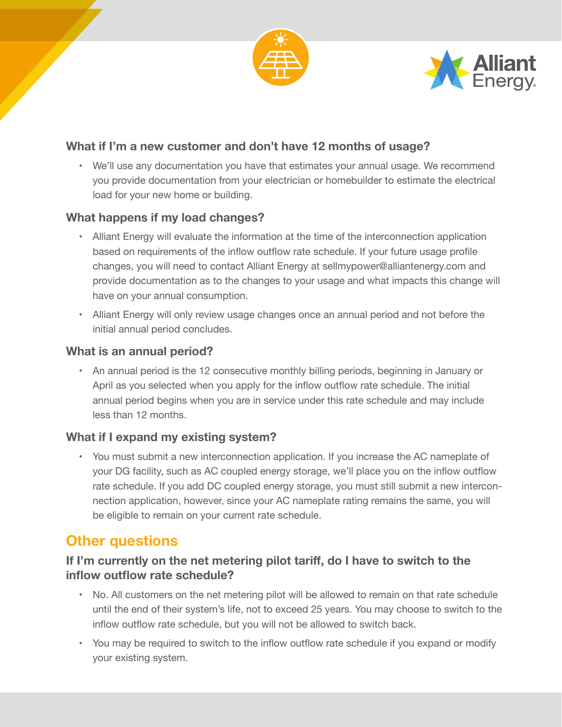



#### **What if I'm a new customer and don't have 12 months of usage?**

• We'll use any documentation you have that estimates your annual usage. We recommend you provide documentation from your electrician or homebuilder to estimate the electrical load for your new home or building.

#### **What happens if my load changes?**

- • Alliant Energy will evaluate the information at the time of the interconnection application based on requirements of the inflow outflow rate schedule. If your future usage profile changes, you will need to contact Alliant Energy at sellmypower@alliantenergy.com and provide documentation as to the changes to your usage and what impacts this change will have on your annual consumption.
- • Alliant Energy will only review usage changes once an annual period and not before the initial annual period concludes.

#### **What is an annual period?**

• An annual period is the 12 consecutive monthly billing periods, beginning in January or April as you selected when you apply for the inflow outflow rate schedule. The initial annual period begins when you are in service under this rate schedule and may include less than 12 months.

#### **What if I expand my existing system?**

• You must submit a new interconnection application. If you increase the AC nameplate of your DG facility, such as AC coupled energy storage, we'll place you on the inflow outflow rate schedule. If you add DC coupled energy storage, you must still submit a new interconnection application, however, since your AC nameplate rating remains the same, you will be eligible to remain on your current rate schedule.

### **Other questions**

#### **If I'm currently on the net metering pilot tariff, do I have to switch to the inflow outflow rate schedule?**

- No. All customers on the net metering pilot will be allowed to remain on that rate schedule until the end of their system's life, not to exceed 25 years. You may choose to switch to the inflow outflow rate schedule, but you will not be allowed to switch back.
- • You may be required to switch to the inflow outflow rate schedule if you expand or modify your existing system.